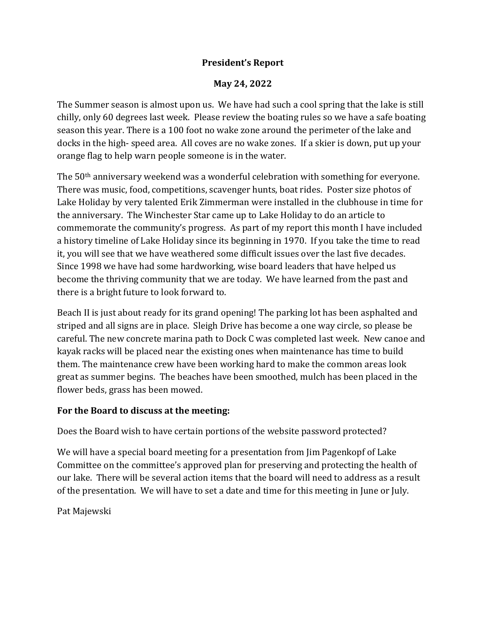## **President's Report**

## **May 24, 2022**

The Summer season is almost upon us. We have had such a cool spring that the lake is still chilly, only 60 degrees last week. Please review the boating rules so we have a safe boating season this year. There is a 100 foot no wake zone around the perimeter of the lake and docks in the high- speed area. All coves are no wake zones. If a skier is down, put up your orange flag to help warn people someone is in the water.

The 50th anniversary weekend was a wonderful celebration with something for everyone. There was music, food, competitions, scavenger hunts, boat rides. Poster size photos of Lake Holiday by very talented Erik Zimmerman were installed in the clubhouse in time for the anniversary. The Winchester Star came up to Lake Holiday to do an article to commemorate the community's progress. As part of my report this month I have included a history timeline of Lake Holiday since its beginning in 1970. If you take the time to read it, you will see that we have weathered some difficult issues over the last five decades. Since 1998 we have had some hardworking, wise board leaders that have helped us become the thriving community that we are today. We have learned from the past and there is a bright future to look forward to.

Beach II is just about ready for its grand opening! The parking lot has been asphalted and striped and all signs are in place. Sleigh Drive has become a one way circle, so please be careful. The new concrete marina path to Dock C was completed last week. New canoe and kayak racks will be placed near the existing ones when maintenance has time to build them. The maintenance crew have been working hard to make the common areas look great as summer begins. The beaches have been smoothed, mulch has been placed in the flower beds, grass has been mowed.

## **For the Board to discuss at the meeting:**

Does the Board wish to have certain portions of the website password protected?

We will have a special board meeting for a presentation from Jim Pagenkopf of Lake Committee on the committee's approved plan for preserving and protecting the health of our lake. There will be several action items that the board will need to address as a result of the presentation. We will have to set a date and time for this meeting in June or July.

Pat Majewski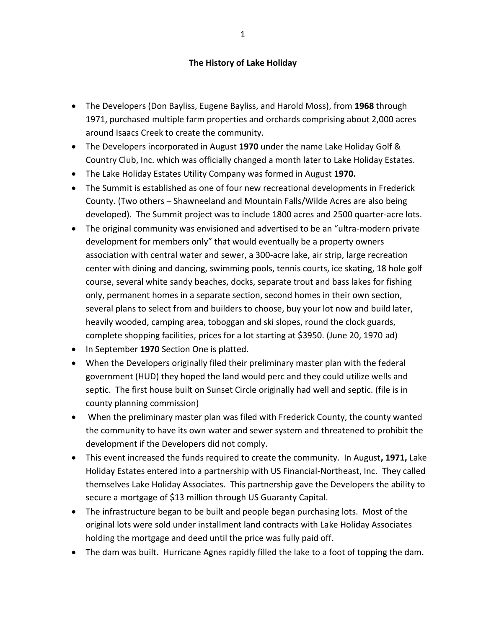## **The History of Lake Holiday**

- The Developers (Don Bayliss, Eugene Bayliss, and Harold Moss), from **1968** through 1971, purchased multiple farm properties and orchards comprising about 2,000 acres around Isaacs Creek to create the community.
- The Developers incorporated in August **1970** under the name Lake Holiday Golf & Country Club, Inc. which was officially changed a month later to Lake Holiday Estates.
- The Lake Holiday Estates Utility Company was formed in August **1970.**
- The Summit is established as one of four new recreational developments in Frederick County. (Two others – Shawneeland and Mountain Falls/Wilde Acres are also being developed). The Summit project was to include 1800 acres and 2500 quarter-acre lots.
- The original community was envisioned and advertised to be an "ultra-modern private development for members only" that would eventually be a property owners association with central water and sewer, a 300-acre lake, air strip, large recreation center with dining and dancing, swimming pools, tennis courts, ice skating, 18 hole golf course, several white sandy beaches, docks, separate trout and bass lakes for fishing only, permanent homes in a separate section, second homes in their own section, several plans to select from and builders to choose, buy your lot now and build later, heavily wooded, camping area, toboggan and ski slopes, round the clock guards, complete shopping facilities, prices for a lot starting at \$3950. (June 20, 1970 ad)
- In September **1970** Section One is platted.
- When the Developers originally filed their preliminary master plan with the federal government (HUD) they hoped the land would perc and they could utilize wells and septic. The first house built on Sunset Circle originally had well and septic. (file is in county planning commission)
- When the preliminary master plan was filed with Frederick County, the county wanted the community to have its own water and sewer system and threatened to prohibit the development if the Developers did not comply.
- This event increased the funds required to create the community. In August**, 1971,** Lake Holiday Estates entered into a partnership with US Financial-Northeast, Inc. They called themselves Lake Holiday Associates. This partnership gave the Developers the ability to secure a mortgage of \$13 million through US Guaranty Capital.
- The infrastructure began to be built and people began purchasing lots. Most of the original lots were sold under installment land contracts with Lake Holiday Associates holding the mortgage and deed until the price was fully paid off.
- The dam was built. Hurricane Agnes rapidly filled the lake to a foot of topping the dam.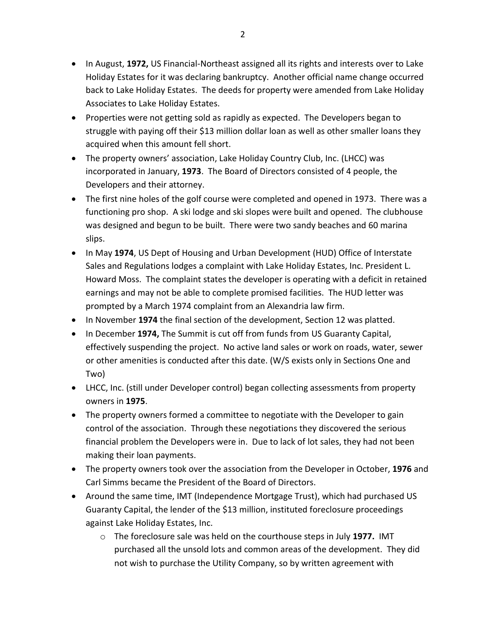- In August, **1972,** US Financial-Northeast assigned all its rights and interests over to Lake Holiday Estates for it was declaring bankruptcy. Another official name change occurred back to Lake Holiday Estates. The deeds for property were amended from Lake Holiday Associates to Lake Holiday Estates.
- Properties were not getting sold as rapidly as expected. The Developers began to struggle with paying off their \$13 million dollar loan as well as other smaller loans they acquired when this amount fell short.
- The property owners' association, Lake Holiday Country Club, Inc. (LHCC) was incorporated in January, **1973**. The Board of Directors consisted of 4 people, the Developers and their attorney.
- The first nine holes of the golf course were completed and opened in 1973. There was a functioning pro shop. A ski lodge and ski slopes were built and opened. The clubhouse was designed and begun to be built. There were two sandy beaches and 60 marina slips.
- In May **1974**, US Dept of Housing and Urban Development (HUD) Office of Interstate Sales and Regulations lodges a complaint with Lake Holiday Estates, Inc. President L. Howard Moss. The complaint states the developer is operating with a deficit in retained earnings and may not be able to complete promised facilities. The HUD letter was prompted by a March 1974 complaint from an Alexandria law firm.
- In November **1974** the final section of the development, Section 12 was platted.
- In December **1974,** The Summit is cut off from funds from US Guaranty Capital, effectively suspending the project. No active land sales or work on roads, water, sewer or other amenities is conducted after this date. (W/S exists only in Sections One and Two)
- LHCC, Inc. (still under Developer control) began collecting assessments from property owners in **1975**.
- The property owners formed a committee to negotiate with the Developer to gain control of the association. Through these negotiations they discovered the serious financial problem the Developers were in. Due to lack of lot sales, they had not been making their loan payments.
- The property owners took over the association from the Developer in October, **1976** and Carl Simms became the President of the Board of Directors.
- Around the same time, IMT (Independence Mortgage Trust), which had purchased US Guaranty Capital, the lender of the \$13 million, instituted foreclosure proceedings against Lake Holiday Estates, Inc.
	- o The foreclosure sale was held on the courthouse steps in July **1977.** IMT purchased all the unsold lots and common areas of the development. They did not wish to purchase the Utility Company, so by written agreement with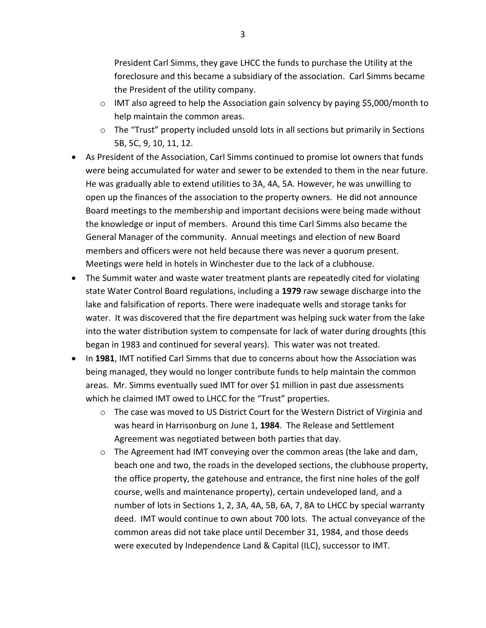President Carl Simms, they gave LHCC the funds to purchase the Utility at the foreclosure and this became a subsidiary of the association. Carl Simms became the President of the utility company.

- o IMT also agreed to help the Association gain solvency by paying \$5,000/month to help maintain the common areas.
- o The "Trust" property included unsold lots in all sections but primarily in Sections 5B, 5C, 9, 10, 11, 12.
- As President of the Association, Carl Simms continued to promise lot owners that funds were being accumulated for water and sewer to be extended to them in the near future. He was gradually able to extend utilities to 3A, 4A, 5A. However, he was unwilling to open up the finances of the association to the property owners. He did not announce Board meetings to the membership and important decisions were being made without the knowledge or input of members. Around this time Carl Simms also became the General Manager of the community. Annual meetings and election of new Board members and officers were not held because there was never a quorum present. Meetings were held in hotels in Winchester due to the lack of a clubhouse.
- The Summit water and waste water treatment plants are repeatedly cited for violating state Water Control Board regulations, including a **1979** raw sewage discharge into the lake and falsification of reports. There were inadequate wells and storage tanks for water. It was discovered that the fire department was helping suck water from the lake into the water distribution system to compensate for lack of water during droughts (this began in 1983 and continued for several years). This water was not treated.
- In **1981**, IMT notified Carl Simms that due to concerns about how the Association was being managed, they would no longer contribute funds to help maintain the common areas. Mr. Simms eventually sued IMT for over \$1 million in past due assessments which he claimed IMT owed to LHCC for the "Trust" properties.
	- $\circ$  The case was moved to US District Court for the Western District of Virginia and was heard in Harrisonburg on June 1, **1984**. The Release and Settlement Agreement was negotiated between both parties that day.
	- $\circ$  The Agreement had IMT conveying over the common areas (the lake and dam, beach one and two, the roads in the developed sections, the clubhouse property, the office property, the gatehouse and entrance, the first nine holes of the golf course, wells and maintenance property), certain undeveloped land, and a number of lots in Sections 1, 2, 3A, 4A, 5B, 6A, 7, 8A to LHCC by special warranty deed. IMT would continue to own about 700 lots. The actual conveyance of the common areas did not take place until December 31, 1984, and those deeds were executed by Independence Land & Capital (ILC), successor to IMT.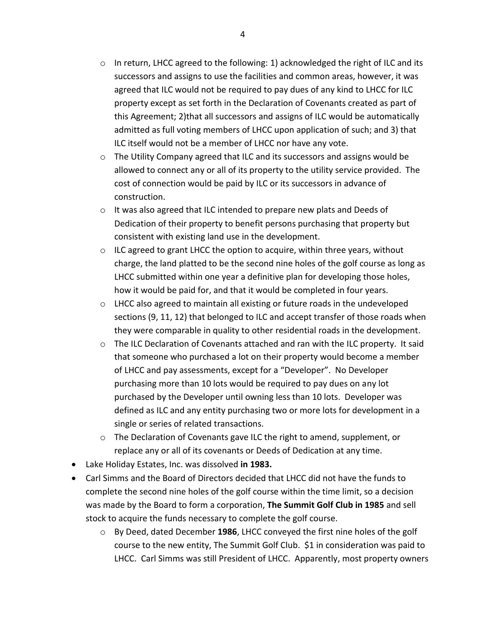- $\circ$  In return, LHCC agreed to the following: 1) acknowledged the right of ILC and its successors and assigns to use the facilities and common areas, however, it was agreed that ILC would not be required to pay dues of any kind to LHCC for ILC property except as set forth in the Declaration of Covenants created as part of this Agreement; 2)that all successors and assigns of ILC would be automatically admitted as full voting members of LHCC upon application of such; and 3) that ILC itself would not be a member of LHCC nor have any vote.
- o The Utility Company agreed that ILC and its successors and assigns would be allowed to connect any or all of its property to the utility service provided. The cost of connection would be paid by ILC or its successors in advance of construction.
- o It was also agreed that ILC intended to prepare new plats and Deeds of Dedication of their property to benefit persons purchasing that property but consistent with existing land use in the development.
- $\circ$  ILC agreed to grant LHCC the option to acquire, within three years, without charge, the land platted to be the second nine holes of the golf course as long as LHCC submitted within one year a definitive plan for developing those holes, how it would be paid for, and that it would be completed in four years.
- $\circ$  LHCC also agreed to maintain all existing or future roads in the undeveloped sections (9, 11, 12) that belonged to ILC and accept transfer of those roads when they were comparable in quality to other residential roads in the development.
- o The ILC Declaration of Covenants attached and ran with the ILC property. It said that someone who purchased a lot on their property would become a member of LHCC and pay assessments, except for a "Developer". No Developer purchasing more than 10 lots would be required to pay dues on any lot purchased by the Developer until owning less than 10 lots. Developer was defined as ILC and any entity purchasing two or more lots for development in a single or series of related transactions.
- $\circ$  The Declaration of Covenants gave ILC the right to amend, supplement, or replace any or all of its covenants or Deeds of Dedication at any time.
- Lake Holiday Estates, Inc. was dissolved **in 1983.**
- Carl Simms and the Board of Directors decided that LHCC did not have the funds to complete the second nine holes of the golf course within the time limit, so a decision was made by the Board to form a corporation, **The Summit Golf Club in 1985** and sell stock to acquire the funds necessary to complete the golf course.
	- o By Deed, dated December **1986**, LHCC conveyed the first nine holes of the golf course to the new entity, The Summit Golf Club. \$1 in consideration was paid to LHCC. Carl Simms was still President of LHCC. Apparently, most property owners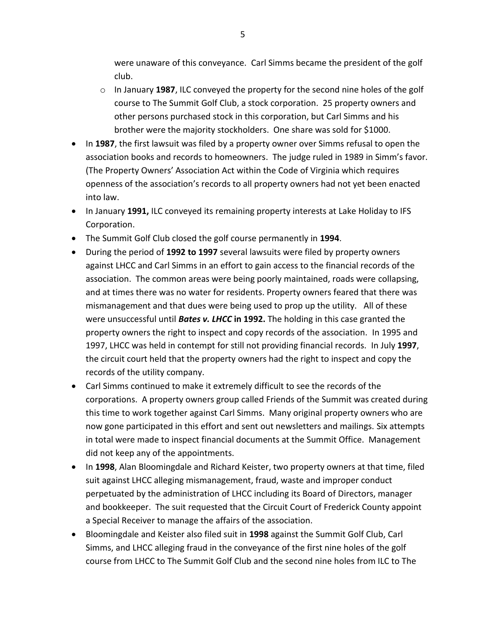were unaware of this conveyance. Carl Simms became the president of the golf club.

- o In January **1987**, ILC conveyed the property for the second nine holes of the golf course to The Summit Golf Club, a stock corporation. 25 property owners and other persons purchased stock in this corporation, but Carl Simms and his brother were the majority stockholders. One share was sold for \$1000.
- In **1987**, the first lawsuit was filed by a property owner over Simms refusal to open the association books and records to homeowners. The judge ruled in 1989 in Simm's favor. (The Property Owners' Association Act within the Code of Virginia which requires openness of the association's records to all property owners had not yet been enacted into law.
- In January **1991,** ILC conveyed its remaining property interests at Lake Holiday to IFS Corporation.
- The Summit Golf Club closed the golf course permanently in **1994**.
- During the period of **1992 to 1997** several lawsuits were filed by property owners against LHCC and Carl Simms in an effort to gain access to the financial records of the association. The common areas were being poorly maintained, roads were collapsing, and at times there was no water for residents. Property owners feared that there was mismanagement and that dues were being used to prop up the utility. All of these were unsuccessful until *Bates v. LHCC* **in 1992.** The holding in this case granted the property owners the right to inspect and copy records of the association. In 1995 and 1997, LHCC was held in contempt for still not providing financial records. In July **1997**, the circuit court held that the property owners had the right to inspect and copy the records of the utility company.
- Carl Simms continued to make it extremely difficult to see the records of the corporations. A property owners group called Friends of the Summit was created during this time to work together against Carl Simms. Many original property owners who are now gone participated in this effort and sent out newsletters and mailings. Six attempts in total were made to inspect financial documents at the Summit Office. Management did not keep any of the appointments.
- In **1998**, Alan Bloomingdale and Richard Keister, two property owners at that time, filed suit against LHCC alleging mismanagement, fraud, waste and improper conduct perpetuated by the administration of LHCC including its Board of Directors, manager and bookkeeper. The suit requested that the Circuit Court of Frederick County appoint a Special Receiver to manage the affairs of the association.
- Bloomingdale and Keister also filed suit in **1998** against the Summit Golf Club, Carl Simms, and LHCC alleging fraud in the conveyance of the first nine holes of the golf course from LHCC to The Summit Golf Club and the second nine holes from ILC to The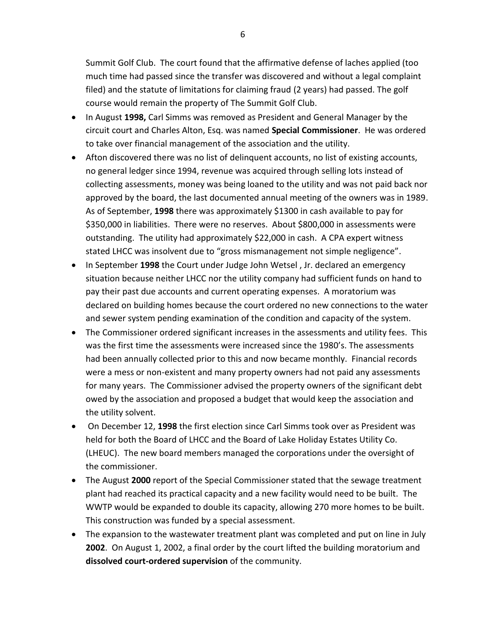Summit Golf Club. The court found that the affirmative defense of laches applied (too much time had passed since the transfer was discovered and without a legal complaint filed) and the statute of limitations for claiming fraud (2 years) had passed. The golf course would remain the property of The Summit Golf Club.

- In August **1998,** Carl Simms was removed as President and General Manager by the circuit court and Charles Alton, Esq. was named **Special Commissioner**. He was ordered to take over financial management of the association and the utility.
- Afton discovered there was no list of delinquent accounts, no list of existing accounts, no general ledger since 1994, revenue was acquired through selling lots instead of collecting assessments, money was being loaned to the utility and was not paid back nor approved by the board, the last documented annual meeting of the owners was in 1989. As of September, **1998** there was approximately \$1300 in cash available to pay for \$350,000 in liabilities. There were no reserves. About \$800,000 in assessments were outstanding. The utility had approximately \$22,000 in cash. A CPA expert witness stated LHCC was insolvent due to "gross mismanagement not simple negligence".
- In September **1998** the Court under Judge John Wetsel , Jr. declared an emergency situation because neither LHCC nor the utility company had sufficient funds on hand to pay their past due accounts and current operating expenses. A moratorium was declared on building homes because the court ordered no new connections to the water and sewer system pending examination of the condition and capacity of the system.
- The Commissioner ordered significant increases in the assessments and utility fees. This was the first time the assessments were increased since the 1980's. The assessments had been annually collected prior to this and now became monthly. Financial records were a mess or non-existent and many property owners had not paid any assessments for many years. The Commissioner advised the property owners of the significant debt owed by the association and proposed a budget that would keep the association and the utility solvent.
- On December 12, **1998** the first election since Carl Simms took over as President was held for both the Board of LHCC and the Board of Lake Holiday Estates Utility Co. (LHEUC). The new board members managed the corporations under the oversight of the commissioner.
- The August **2000** report of the Special Commissioner stated that the sewage treatment plant had reached its practical capacity and a new facility would need to be built. The WWTP would be expanded to double its capacity, allowing 270 more homes to be built. This construction was funded by a special assessment.
- The expansion to the wastewater treatment plant was completed and put on line in July **2002**. On August 1, 2002, a final order by the court lifted the building moratorium and **dissolved court-ordered supervision** of the community.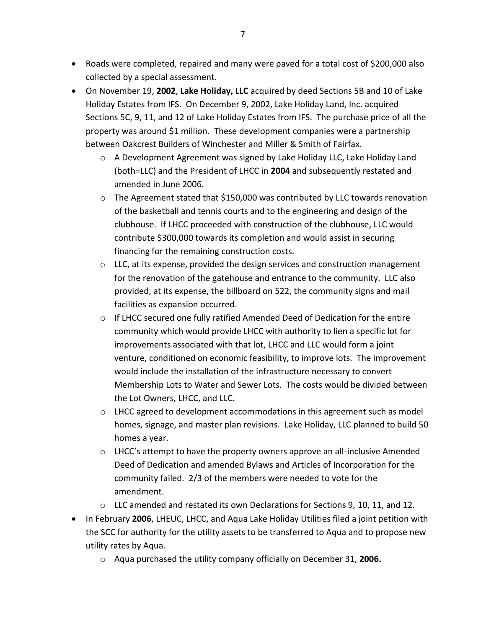- Roads were completed, repaired and many were paved for a total cost of \$200,000 also collected by a special assessment.
- On November 19, **2002**, **Lake Holiday, LLC** acquired by deed Sections 5B and 10 of Lake Holiday Estates from IFS. On December 9, 2002, Lake Holiday Land, Inc. acquired Sections 5C, 9, 11, and 12 of Lake Holiday Estates from IFS. The purchase price of all the property was around \$1 million. These development companies were a partnership between Oakcrest Builders of Winchester and Miller & Smith of Fairfax.
	- $\circ$  A Development Agreement was signed by Lake Holiday LLC, Lake Holiday Land (both=LLC) and the President of LHCC in **2004** and subsequently restated and amended in June 2006.
	- $\circ$  The Agreement stated that \$150,000 was contributed by LLC towards renovation of the basketball and tennis courts and to the engineering and design of the clubhouse. If LHCC proceeded with construction of the clubhouse, LLC would contribute \$300,000 towards its completion and would assist in securing financing for the remaining construction costs.
	- $\circ$  LLC, at its expense, provided the design services and construction management for the renovation of the gatehouse and entrance to the community. LLC also provided, at its expense, the billboard on 522, the community signs and mail facilities as expansion occurred.
	- o If LHCC secured one fully ratified Amended Deed of Dedication for the entire community which would provide LHCC with authority to lien a specific lot for improvements associated with that lot, LHCC and LLC would form a joint venture, conditioned on economic feasibility, to improve lots. The improvement would include the installation of the infrastructure necessary to convert Membership Lots to Water and Sewer Lots. The costs would be divided between the Lot Owners, LHCC, and LLC.
	- $\circ$  LHCC agreed to development accommodations in this agreement such as model homes, signage, and master plan revisions. Lake Holiday, LLC planned to build 50 homes a year.
	- $\circ$  LHCC's attempt to have the property owners approve an all-inclusive Amended Deed of Dedication and amended Bylaws and Articles of Incorporation for the community failed. 2/3 of the members were needed to vote for the amendment.
	- $\circ$  LLC amended and restated its own Declarations for Sections 9, 10, 11, and 12.
- In February **2006**, LHEUC, LHCC, and Aqua Lake Holiday Utilities filed a joint petition with the SCC for authority for the utility assets to be transferred to Aqua and to propose new utility rates by Aqua.
	- o Aqua purchased the utility company officially on December 31, **2006.**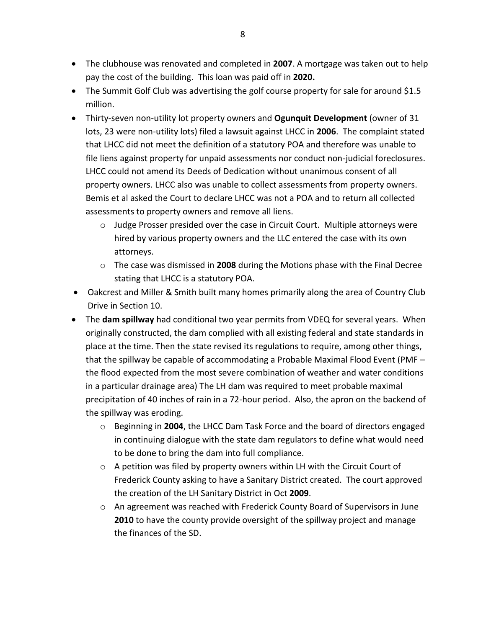- The clubhouse was renovated and completed in **2007**. A mortgage was taken out to help pay the cost of the building. This loan was paid off in **2020.**
- The Summit Golf Club was advertising the golf course property for sale for around \$1.5 million.
- Thirty-seven non-utility lot property owners and **Ogunquit Development** (owner of 31 lots, 23 were non-utility lots) filed a lawsuit against LHCC in **2006**. The complaint stated that LHCC did not meet the definition of a statutory POA and therefore was unable to file liens against property for unpaid assessments nor conduct non-judicial foreclosures. LHCC could not amend its Deeds of Dedication without unanimous consent of all property owners. LHCC also was unable to collect assessments from property owners. Bemis et al asked the Court to declare LHCC was not a POA and to return all collected assessments to property owners and remove all liens.
	- o Judge Prosser presided over the case in Circuit Court. Multiple attorneys were hired by various property owners and the LLC entered the case with its own attorneys.
	- o The case was dismissed in **2008** during the Motions phase with the Final Decree stating that LHCC is a statutory POA.
- Oakcrest and Miller & Smith built many homes primarily along the area of Country Club Drive in Section 10.
- The **dam spillway** had conditional two year permits from VDEQ for several years. When originally constructed, the dam complied with all existing federal and state standards in place at the time. Then the state revised its regulations to require, among other things, that the spillway be capable of accommodating a Probable Maximal Flood Event (PMF – the flood expected from the most severe combination of weather and water conditions in a particular drainage area) The LH dam was required to meet probable maximal precipitation of 40 inches of rain in a 72-hour period. Also, the apron on the backend of the spillway was eroding.
	- o Beginning in **2004**, the LHCC Dam Task Force and the board of directors engaged in continuing dialogue with the state dam regulators to define what would need to be done to bring the dam into full compliance.
	- o A petition was filed by property owners within LH with the Circuit Court of Frederick County asking to have a Sanitary District created. The court approved the creation of the LH Sanitary District in Oct **2009**.
	- $\circ$  An agreement was reached with Frederick County Board of Supervisors in June **2010** to have the county provide oversight of the spillway project and manage the finances of the SD.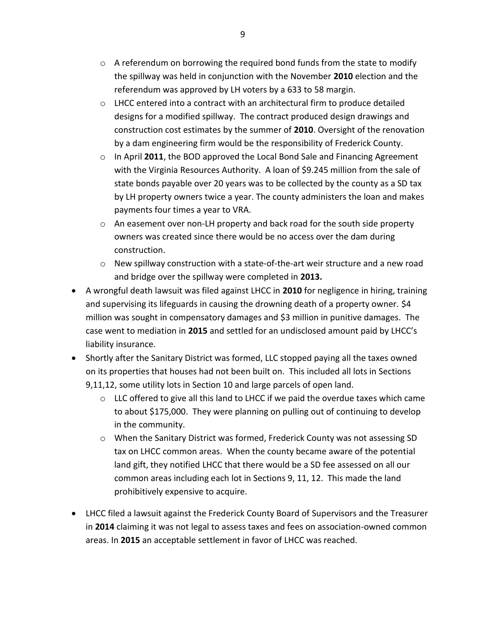- $\circ$  A referendum on borrowing the required bond funds from the state to modify the spillway was held in conjunction with the November **2010** election and the referendum was approved by LH voters by a 633 to 58 margin.
- $\circ$  LHCC entered into a contract with an architectural firm to produce detailed designs for a modified spillway. The contract produced design drawings and construction cost estimates by the summer of **2010**. Oversight of the renovation by a dam engineering firm would be the responsibility of Frederick County.
- o In April **2011**, the BOD approved the Local Bond Sale and Financing Agreement with the Virginia Resources Authority. A loan of \$9.245 million from the sale of state bonds payable over 20 years was to be collected by the county as a SD tax by LH property owners twice a year. The county administers the loan and makes payments four times a year to VRA.
- $\circ$  An easement over non-LH property and back road for the south side property owners was created since there would be no access over the dam during construction.
- $\circ$  New spillway construction with a state-of-the-art weir structure and a new road and bridge over the spillway were completed in **2013.**
- A wrongful death lawsuit was filed against LHCC in **2010** for negligence in hiring, training and supervising its lifeguards in causing the drowning death of a property owner. \$4 million was sought in compensatory damages and \$3 million in punitive damages. The case went to mediation in **2015** and settled for an undisclosed amount paid by LHCC's liability insurance.
- Shortly after the Sanitary District was formed, LLC stopped paying all the taxes owned on its properties that houses had not been built on. This included all lots in Sections 9,11,12, some utility lots in Section 10 and large parcels of open land.
	- $\circ$  LLC offered to give all this land to LHCC if we paid the overdue taxes which came to about \$175,000. They were planning on pulling out of continuing to develop in the community.
	- o When the Sanitary District was formed, Frederick County was not assessing SD tax on LHCC common areas. When the county became aware of the potential land gift, they notified LHCC that there would be a SD fee assessed on all our common areas including each lot in Sections 9, 11, 12. This made the land prohibitively expensive to acquire.
- LHCC filed a lawsuit against the Frederick County Board of Supervisors and the Treasurer in **2014** claiming it was not legal to assess taxes and fees on association-owned common areas. In **2015** an acceptable settlement in favor of LHCC was reached.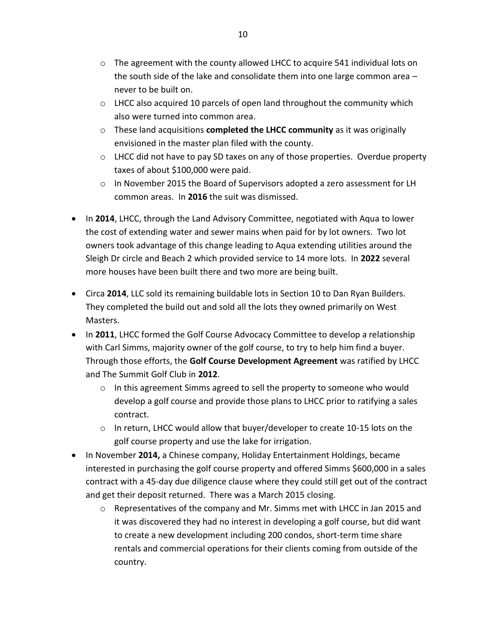- $\circ$  The agreement with the county allowed LHCC to acquire 541 individual lots on the south side of the lake and consolidate them into one large common area – never to be built on.
- $\circ$  LHCC also acquired 10 parcels of open land throughout the community which also were turned into common area.
- o These land acquisitions **completed the LHCC community** as it was originally envisioned in the master plan filed with the county.
- o LHCC did not have to pay SD taxes on any of those properties. Overdue property taxes of about \$100,000 were paid.
- o In November 2015 the Board of Supervisors adopted a zero assessment for LH common areas. In **2016** the suit was dismissed.
- In **2014**, LHCC, through the Land Advisory Committee, negotiated with Aqua to lower the cost of extending water and sewer mains when paid for by lot owners. Two lot owners took advantage of this change leading to Aqua extending utilities around the Sleigh Dr circle and Beach 2 which provided service to 14 more lots. In **2022** several more houses have been built there and two more are being built.
- Circa **2014**, LLC sold its remaining buildable lots in Section 10 to Dan Ryan Builders. They completed the build out and sold all the lots they owned primarily on West Masters.
- In **2011**, LHCC formed the Golf Course Advocacy Committee to develop a relationship with Carl Simms, majority owner of the golf course, to try to help him find a buyer. Through those efforts, the **Golf Course Development Agreement** was ratified by LHCC and The Summit Golf Club in **2012**.
	- o In this agreement Simms agreed to sell the property to someone who would develop a golf course and provide those plans to LHCC prior to ratifying a sales contract.
	- $\circ$  In return, LHCC would allow that buyer/developer to create 10-15 lots on the golf course property and use the lake for irrigation.
- In November **2014,** a Chinese company, Holiday Entertainment Holdings, became interested in purchasing the golf course property and offered Simms \$600,000 in a sales contract with a 45-day due diligence clause where they could still get out of the contract and get their deposit returned. There was a March 2015 closing.
	- $\circ$  Representatives of the company and Mr. Simms met with LHCC in Jan 2015 and it was discovered they had no interest in developing a golf course, but did want to create a new development including 200 condos, short-term time share rentals and commercial operations for their clients coming from outside of the country.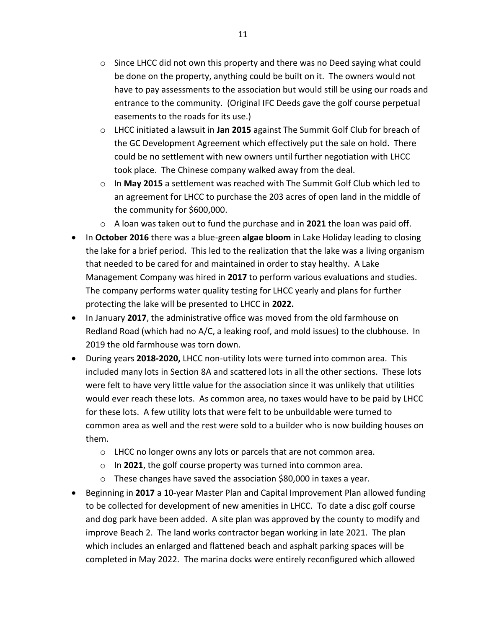- $\circ$  Since LHCC did not own this property and there was no Deed saying what could be done on the property, anything could be built on it. The owners would not have to pay assessments to the association but would still be using our roads and entrance to the community. (Original IFC Deeds gave the golf course perpetual easements to the roads for its use.)
- o LHCC initiated a lawsuit in **Jan 2015** against The Summit Golf Club for breach of the GC Development Agreement which effectively put the sale on hold. There could be no settlement with new owners until further negotiation with LHCC took place. The Chinese company walked away from the deal.
- o In **May 2015** a settlement was reached with The Summit Golf Club which led to an agreement for LHCC to purchase the 203 acres of open land in the middle of the community for \$600,000.
- o A loan was taken out to fund the purchase and in **2021** the loan was paid off.
- In **October 2016** there was a blue-green **algae bloom** in Lake Holiday leading to closing the lake for a brief period. This led to the realization that the lake was a living organism that needed to be cared for and maintained in order to stay healthy. A Lake Management Company was hired in **2017** to perform various evaluations and studies. The company performs water quality testing for LHCC yearly and plans for further protecting the lake will be presented to LHCC in **2022.**
- In January **2017**, the administrative office was moved from the old farmhouse on Redland Road (which had no A/C, a leaking roof, and mold issues) to the clubhouse. In 2019 the old farmhouse was torn down.
- During years **2018-2020,** LHCC non-utility lots were turned into common area. This included many lots in Section 8A and scattered lots in all the other sections. These lots were felt to have very little value for the association since it was unlikely that utilities would ever reach these lots. As common area, no taxes would have to be paid by LHCC for these lots. A few utility lots that were felt to be unbuildable were turned to common area as well and the rest were sold to a builder who is now building houses on them.
	- o LHCC no longer owns any lots or parcels that are not common area.
	- o In **2021**, the golf course property was turned into common area.
	- o These changes have saved the association \$80,000 in taxes a year.
- Beginning in **2017** a 10-year Master Plan and Capital Improvement Plan allowed funding to be collected for development of new amenities in LHCC. To date a disc golf course and dog park have been added. A site plan was approved by the county to modify and improve Beach 2. The land works contractor began working in late 2021. The plan which includes an enlarged and flattened beach and asphalt parking spaces will be completed in May 2022. The marina docks were entirely reconfigured which allowed